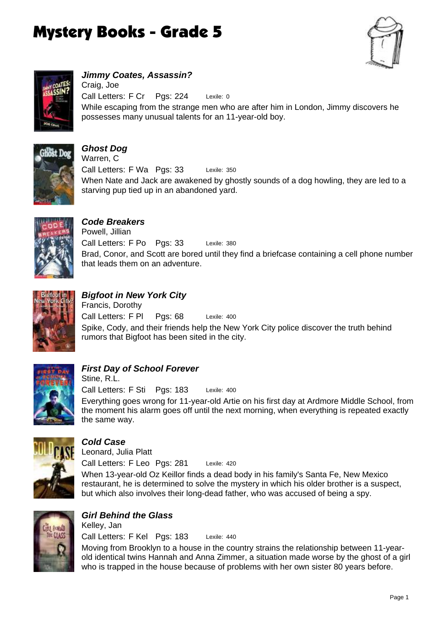



*Jimmy Coates, Assassin?* Lexile: 0 While escaping from the strange men who are after him in London, Jimmy discovers he possesses many unusual talents for an 11-year-old boy. Call Letters: F Cr Pgs: 224 Craig, Joe



### *Ghost Dog*

Lexile: 350 When Nate and Jack are awakened by ghostly sounds of a dog howling, they are led to a starving pup tied up in an abandoned yard. Call Letters: F Wa Pgs: 33 Warren, C



# *Code Breakers*

Lexile: 380 Brad, Conor, and Scott are bored until they find a briefcase containing a cell phone number that leads them on an adventure. Call Letters: F Po Pgs: 33 Powell, Jillian



# *Bigfoot in New York City*

Lexile: 400 Spike, Cody, and their friends help the New York City police discover the truth behind rumors that Bigfoot has been sited in the city. Call Letters: F Pl Pgs: 68 Francis, Dorothy



### *First Day of School Forever*

Lexile: 400 Everything goes wrong for 11-year-old Artie on his first day at Ardmore Middle School, from the moment his alarm goes off until the next morning, when everything is repeated exactly the same way. Call Letters: F Sti Pgs: 183 Stine, R.L.



#### *Cold Case*

Lexile: 420 When 13-year-old Oz Keillor finds a dead body in his family's Santa Fe, New Mexico restaurant, he is determined to solve the mystery in which his older brother is a suspect, but which also involves their long-dead father, who was accused of being a spy. Call Letters: F Leo Pgs: 281 Leonard, Julia Platt



### *Girl Behind the Glass*

Lexile: 440 Call Letters: F Kel Pgs: 183 Kelley, Jan

Moving from Brooklyn to a house in the country strains the relationship between 11-yearold identical twins Hannah and Anna Zimmer, a situation made worse by the ghost of a girl who is trapped in the house because of problems with her own sister 80 years before.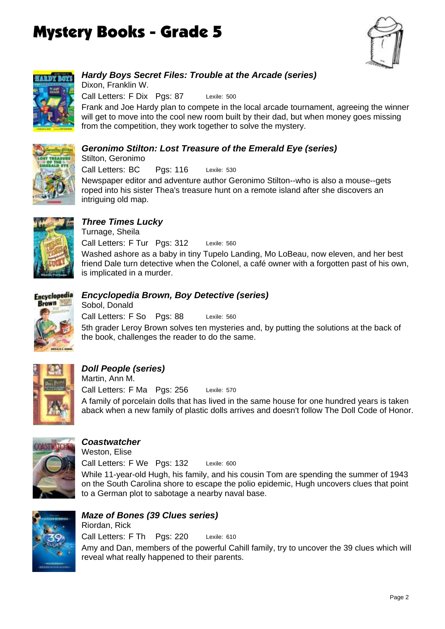



### *Hardy Boys Secret Files: Trouble at the Arcade (series)*

Lexile: 500 Call Letters: F Dix Pgs: 87 Dixon, Franklin W.

Frank and Joe Hardy plan to compete in the local arcade tournament, agreeing the winner will get to move into the cool new room built by their dad, but when money goes missing from the competition, they work together to solve the mystery.

## *Geronimo Stilton: Lost Treasure of the Emerald Eye (series)*

Stilton, Geronimo

Lexile: 530 Call Letters: BC Pgs: 116

Newspaper editor and adventure author Geronimo Stilton--who is also a mouse--gets roped into his sister Thea's treasure hunt on a remote island after she discovers an intriguing old map.



# *Three Times Lucky*

Lexile: 560 Washed ashore as a baby in tiny Tupelo Landing, Mo LoBeau, now eleven, and her best friend Dale turn detective when the Colonel, a café owner with a forgotten past of his own, is implicated in a murder. Call Letters: F Tur Pgs: 312 Turnage, Sheila



# *Encyclopedia Brown, Boy Detective (series)*

Lexile: 560 5th grader Leroy Brown solves ten mysteries and, by putting the solutions at the back of the book, challenges the reader to do the same. Call Letters: F So Pgs: 88 Sobol, Donald



# *Doll People (series)*

Lexile: 570 A family of porcelain dolls that has lived in the same house for one hundred years is taken aback when a new family of plastic dolls arrives and doesn't follow The Doll Code of Honor. Call Letters: F Ma Pgs: 256 Martin, Ann M.



#### *Coastwatcher*

Lexile: 600 While 11-year-old Hugh, his family, and his cousin Tom are spending the summer of 1943 on the South Carolina shore to escape the polio epidemic, Hugh uncovers clues that point to a German plot to sabotage a nearby naval base. Call Letters: F We Pgs: 132 Weston, Elise



### *Maze of Bones (39 Clues series)*

Lexile: 610 Amy and Dan, members of the powerful Cahill family, try to uncover the 39 clues which will reveal what really happened to their parents. Call Letters: F Th Pgs: 220 Riordan, Rick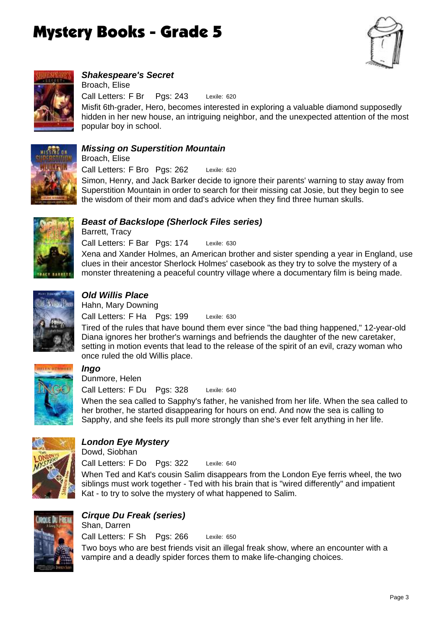



# *Shakespeare's Secret*

Lexile: 620 Call Letters: F Br Pgs: 243 Broach, Elise

Misfit 6th-grader, Hero, becomes interested in exploring a valuable diamond supposedly hidden in her new house, an intriguing neighbor, and the unexpected attention of the most popular boy in school.



#### *Missing on Superstition Mountain*

Call Letters: F Bro Pgs: 262 Broach, Elise

Lexile: 620 Simon, Henry, and Jack Barker decide to ignore their parents' warning to stay away from Superstition Mountain in order to search for their missing cat Josie, but they begin to see the wisdom of their mom and dad's advice when they find three human skulls.



#### *Beast of Backslope (Sherlock Files series)* Barrett, Tracy

Lexile: 630 Xena and Xander Holmes, an American brother and sister spending a year in England, use clues in their ancestor Sherlock Holmes' casebook as they try to solve the mystery of a monster threatening a peaceful country village where a documentary film is being made. Call Letters: F Bar Pgs: 174



#### *Old Willis Place*

Lexile: 630 Call Letters: F Ha Pgs: 199 Hahn, Mary Downing

Tired of the rules that have bound them ever since "the bad thing happened," 12-year-old Diana ignores her brother's warnings and befriends the daughter of the new caretaker, setting in motion events that lead to the release of the spirit of an evil, crazy woman who once ruled the old Willis place.



# *Ingo*

Dunmore, Helen

Lexile: 640 Call Letters: F Du Pgs: 328

When the sea called to Sapphy's father, he vanished from her life. When the sea called to her brother, he started disappearing for hours on end. And now the sea is calling to Sapphy, and she feels its pull more strongly than she's ever felt anything in her life.



# *London Eye Mystery*

Dowd, Siobhan

Lexile: 640 When Ted and Kat's cousin Salim disappears from the London Eye ferris wheel, the two siblings must work together - Ted with his brain that is "wired differently" and impatient Kat - to try to solve the mystery of what happened to Salim. Call Letters: F Do Pgs: 322



# *Cirque Du Freak (series)*

Lexile: 650 Two boys who are best friends visit an illegal freak show, where an encounter with a vampire and a deadly spider forces them to make life-changing choices. Call Letters: F Sh Pgs: 266 Shan, Darren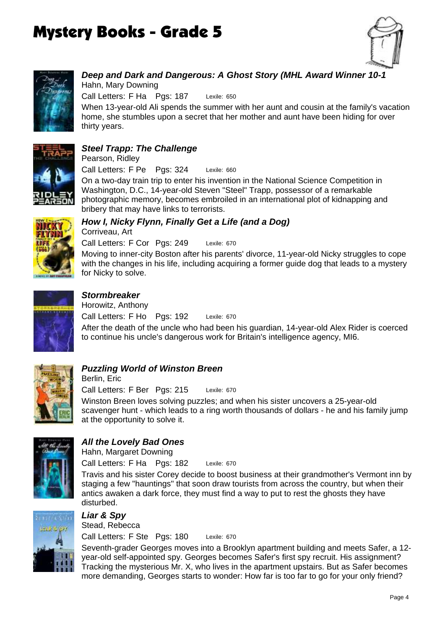



# *Deep and Dark and Dangerous: A Ghost Story (MHL Award Winner 10-1*

Lexile: 650 When 13-year-old Ali spends the summer with her aunt and cousin at the family's vacation home, she stumbles upon a secret that her mother and aunt have been hiding for over Call Letters: F Ha Pgs: 187 Hahn, Mary Downing



#### *Steel Trapp: The Challenge*

Pearson, Ridley

thirty years.

Lexile: 660 Call Letters: F Pe Pgs: 324

On a two-day train trip to enter his invention in the National Science Competition in Washington, D.C., 14-year-old Steven "Steel" Trapp, possessor of a remarkable photographic memory, becomes embroiled in an international plot of kidnapping and bribery that may have links to terrorists.



#### *How I, Nicky Flynn, Finally Get a Life (and a Dog)* Corriveau, Art

Lexile: 670 Moving to inner-city Boston after his parents' divorce, 11-year-old Nicky struggles to cope with the changes in his life, including acquiring a former guide dog that leads to a mystery for Nicky to solve. Call Letters: F Cor Pgs: 249



# *Stormbreaker*

Lexile: 670 Call Letters: F Ho Pgs: 192 Horowitz, Anthony

After the death of the uncle who had been his guardian, 14-year-old Alex Rider is coerced to continue his uncle's dangerous work for Britain's intelligence agency, MI6.



### *Puzzling World of Winston Breen*

Lexile: 670 Winston Breen loves solving puzzles; and when his sister uncovers a 25-year-old scavenger hunt - which leads to a ring worth thousands of dollars - he and his family jump at the opportunity to solve it. Call Letters: F Ber Pgs: 215 Berlin, Eric



### *All the Lovely Bad Ones*

Lexile: 670 Call Letters: F Ha Pgs: 182 Hahn, Margaret Downing

Travis and his sister Corey decide to boost business at their grandmother's Vermont inn by staging a few "hauntings" that soon draw tourists from across the country, but when their antics awaken a dark force, they must find a way to put to rest the ghosts they have disturbed.



# *Liar & Spy*

Lexile: 670 Call Letters: F Ste Pgs: 180 Stead, Rebecca

Seventh-grader Georges moves into a Brooklyn apartment building and meets Safer, a 12 year-old self-appointed spy. Georges becomes Safer's first spy recruit. His assignment? Tracking the mysterious Mr. X, who lives in the apartment upstairs. But as Safer becomes more demanding, Georges starts to wonder: How far is too far to go for your only friend?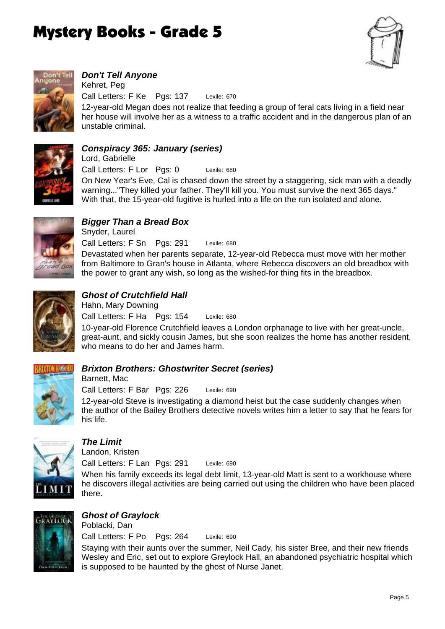



# *Don't Tell Anyone*

unstable criminal.

Lexile: 670 12-year-old Megan does not realize that feeding a group of feral cats living in a field near her house will involve her as a witness to a traffic accident and in the dangerous plan of an Call Letters: F Ke Pgs: 137 Kehret, Peg



#### *Conspiracy 365: January (series)*

Lexile: 680 On New Year's Eve, Cal is chased down the street by a staggering, sick man with a deadly warning..."They killed your father. They'll kill you. You must survive the next 365 days." With that, the 15-year-old fugitive is hurled into a life on the run isolated and alone. Call Letters: F Lor Pgs: 0 Lord, Gabrielle



#### *Bigger Than a Bread Box* Snyder, Laurel

Lexile: 680 Devastated when her parents separate, 12-year-old Rebecca must move with her mother from Baltimore to Gran's house in Atlanta, where Rebecca discovers an old breadbox with the power to grant any wish, so long as the wished-for thing fits in the breadbox. Call Letters: F Sn Pgs: 291



#### *Ghost of Crutchfield Hall*

Lexile: 680 Call Letters: F Ha Pgs: 154 Hahn, Mary Downing

10-year-old Florence Crutchfield leaves a London orphanage to live with her great-uncle, great-aunt, and sickly cousin James, but she soon realizes the home has another resident, who means to do her and James harm.



#### *Brixton Brothers: Ghostwriter Secret (series)*

Lexile: 690 Call Letters: F Bar Pgs: 226 Barnett, Mac

12-year-old Steve is investigating a diamond heist but the case suddenly changes when the author of the Bailey Brothers detective novels writes him a letter to say that he fears for his life.



### *The Limit*

Landon, Kristen

Lexile: 690 When his family exceeds its legal debt limit, 13-year-old Matt is sent to a workhouse where he discovers illegal activities are being carried out using the children who have been placed there. Call Letters: F Lan Pgs: 291



#### *Ghost of Graylock* Poblacki, Dan

Lexile: 690 Call Letters: F Po Pgs: 264

Staying with their aunts over the summer, Neil Cady, his sister Bree, and their new friends Wesley and Eric, set out to explore Greylock Hall, an abandoned psychiatric hospital which is supposed to be haunted by the ghost of Nurse Janet.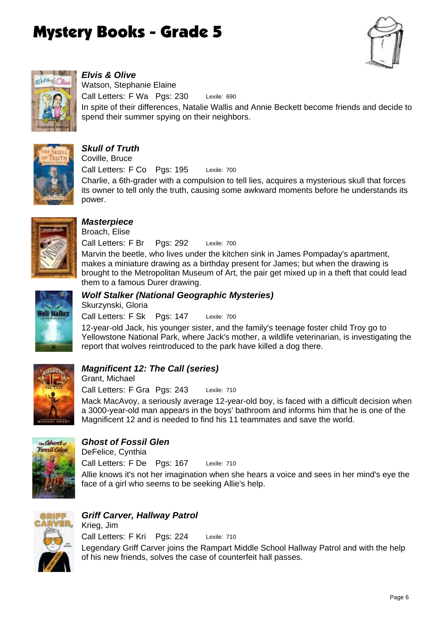



# *Elvis & Olive*

Lexile: 690 In spite of their differences, Natalie Wallis and Annie Beckett become friends and decide to spend their summer spying on their neighbors. Call Letters: F Wa Pgs: 230 Watson, Stephanie Elaine



# *Skull of Truth*

Coville, Bruce

Lexile: 700 Call Letters: F Co Pgs: 195

Charlie, a 6th-grader with a compulsion to tell lies, acquires a mysterious skull that forces its owner to tell only the truth, causing some awkward moments before he understands its power.



# *Masterpiece*

Lexile: 700 Marvin the beetle, who lives under the kitchen sink in James Pompaday's apartment, makes a miniature drawing as a birthday present for James; but when the drawing is brought to the Metropolitan Museum of Art, the pair get mixed up in a theft that could lead them to a famous Durer drawing. Call Letters: F Br Pgs: 292 Broach, Elise



# *Wolf Stalker (National Geographic Mysteries)*

Skurzynski, Gloria

Lexile: 700 Call Letters: F Sk Pgs: 147

12-year-old Jack, his younger sister, and the family's teenage foster child Troy go to Yellowstone National Park, where Jack's mother, a wildlife veterinarian, is investigating the report that wolves reintroduced to the park have killed a dog there.



### *Magnificent 12: The Call (series)*

Lexile: 710 Call Letters: F Gra Pgs: 243 Grant, Michael

Mack MacAvoy, a seriously average 12-year-old boy, is faced with a difficult decision when a 3000-year-old man appears in the boys' bathroom and informs him that he is one of the Magnificent 12 and is needed to find his 11 teammates and save the world.



### *Ghost of Fossil Glen*

Lexile: 710 Allie knows it's not her imagination when she hears a voice and sees in her mind's eye the face of a girl who seems to be seeking Allie's help. Call Letters: F De Pgs: 167 DeFelice, Cynthia



### *Griff Carver, Hallway Patrol*

Lexile: 710 Legendary Griff Carver joins the Rampart Middle School Hallway Patrol and with the help of his new friends, solves the case of counterfeit hall passes. Call Letters: F Kri Pgs: 224 Krieg, Jim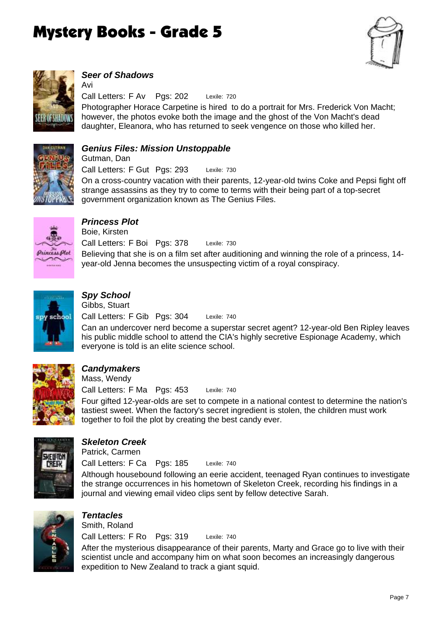



## *Seer of Shadows*

Avi

Lexile: 720 Photographer Horace Carpetine is hired to do a portrait for Mrs. Frederick Von Macht; however, the photos evoke both the image and the ghost of the Von Macht's dead daughter, Eleanora, who has returned to seek vengence on those who killed her. Call Letters: F Av Pgs: 202



#### *Genius Files: Mission Unstoppable*

Lexile: 730 Call Letters: F Gut Pgs: 293 Gutman, Dan

On a cross-country vacation with their parents, 12-year-old twins Coke and Pepsi fight off strange assassins as they try to come to terms with their being part of a top-secret government organization known as The Genius Files.



# *Princess Plot*

Lexile: 730 Believing that she is on a film set after auditioning and winning the role of a princess, 14 year-old Jenna becomes the unsuspecting victim of a royal conspiracy. Call Letters: F Boi Pgs: 378 Boie, Kirsten



# *Spy School*

Lexile: 740 Call Letters: F Gib Pgs: 304 Gibbs, Stuart

Can an undercover nerd become a superstar secret agent? 12-year-old Ben Ripley leaves his public middle school to attend the CIA's highly secretive Espionage Academy, which everyone is told is an elite science school.



# *Candymakers*

Lexile: 740 Four gifted 12-year-olds are set to compete in a national contest to determine the nation's tastiest sweet. When the factory's secret ingredient is stolen, the children must work together to foil the plot by creating the best candy ever. Call Letters: F Ma Pgs: 453 Mass, Wendy



# *Skeleton Creek*

Patrick, Carmen

Lexile: 740 Call Letters: F Ca Pgs: 185

Although housebound following an eerie accident, teenaged Ryan continues to investigate the strange occurrences in his hometown of Skeleton Creek, recording his findings in a journal and viewing email video clips sent by fellow detective Sarah.



### *Tentacles*

Lexile: 740 Call Letters: F Ro Pgs: 319 Smith, Roland

After the mysterious disappearance of their parents, Marty and Grace go to live with their scientist uncle and accompany him on what soon becomes an increasingly dangerous expedition to New Zealand to track a giant squid.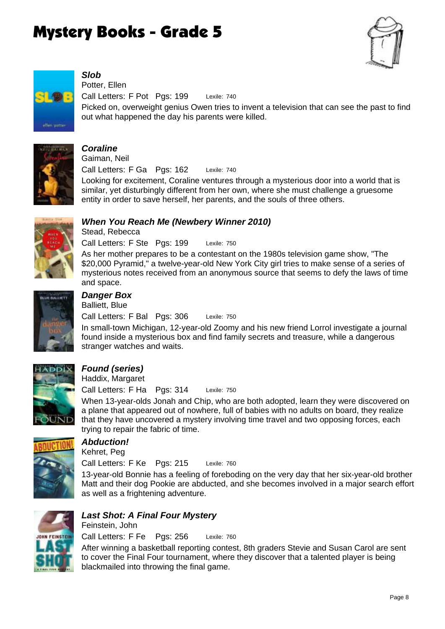



# *Slob*

Lexile: 740 Picked on, overweight genius Owen tries to invent a television that can see the past to find out what happened the day his parents were killed. Call Letters: F Pot Pgs: 199 Potter, Ellen



#### *Coraline*

Lexile: 740 Call Letters: F Ga Pgs: 162 Gaiman, Neil

Looking for excitement, Coraline ventures through a mysterious door into a world that is similar, yet disturbingly different from her own, where she must challenge a gruesome entity in order to save herself, her parents, and the souls of three others.

#### *When You Reach Me (Newbery Winner 2010)* Stead, Rebecca

Lexile: 750 Call Letters: F Ste Pgs: 199

As her mother prepares to be a contestant on the 1980s television game show, "The \$20,000 Pyramid," a twelve-year-old New York City girl tries to make sense of a series of mysterious notes received from an anonymous source that seems to defy the laws of time and space.



# *Danger Box*

Lexile: 750 Call Letters: F Bal Pgs: 306 Balliett, Blue

In small-town Michigan, 12-year-old Zoomy and his new friend Lorrol investigate a journal found inside a mysterious box and find family secrets and treasure, while a dangerous stranger watches and waits.



# *Found (series)*

Haddix, Margaret

Lexile: 750 Call Letters: F Ha Pgs: 314

When 13-year-olds Jonah and Chip, who are both adopted, learn they were discovered on a plane that appeared out of nowhere, full of babies with no adults on board, they realize that they have uncovered a mystery involving time travel and two opposing forces, each trying to repair the fabric of time.



### *Abduction!*

Kehret, Peg

Lexile: 760 Call Letters: F Ke Pgs: 215

13-year-old Bonnie has a feeling of foreboding on the very day that her six-year-old brother Matt and their dog Pookie are abducted, and she becomes involved in a major search effort as well as a frightening adventure.



# *Last Shot: A Final Four Mystery*

Lexile: 760 Call Letters: F Fe Pgs: 256 Feinstein, John

After winning a basketball reporting contest, 8th graders Stevie and Susan Carol are sent to cover the Final Four tournament, where they discover that a talented player is being blackmailed into throwing the final game.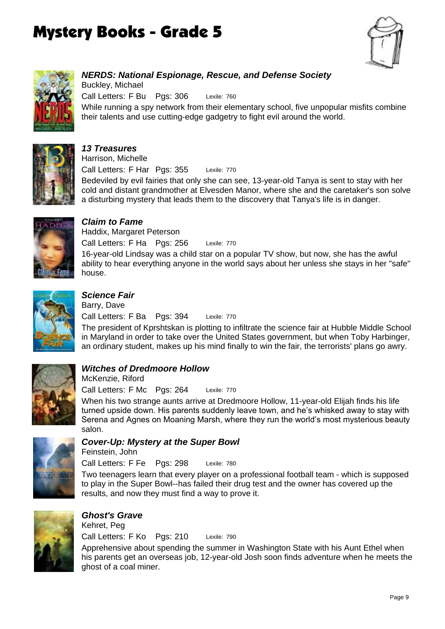



*NERDS: National Espionage, Rescue, and Defense Society* Lexile: 760 While running a spy network from their elementary school, five unpopular misfits combine their talents and use cutting-edge gadgetry to fight evil around the world. Call Letters: F Bu Pgs: 306 Buckley, Michael



#### *13 Treasures*

Call Letters: F Har Pgs: 355 Harrison, Michelle

Bedeviled by evil fairies that only she can see, 13-year-old Tanya is sent to stay with her cold and distant grandmother at Elvesden Manor, where she and the caretaker's son solve a disturbing mystery that leads them to the discovery that Tanya's life is in danger.

Lexile: 770



# *Claim to Fame*

Lexile: 770 16-year-old Lindsay was a child star on a popular TV show, but now, she has the awful ability to hear everything anyone in the world says about her unless she stays in her "safe" house. Call Letters: F Ha Pgs: 256 Haddix, Margaret Peterson



# *Science Fair*

Lexile: 770 Call Letters: F Ba Pgs: 394 Barry, Dave

The president of Kprshtskan is plotting to infiltrate the science fair at Hubble Middle School in Maryland in order to take over the United States government, but when Toby Harbinger, an ordinary student, makes up his mind finally to win the fair, the terrorists' plans go awry.



### *Witches of Dredmoore Hollow*

Lexile: 770 Call Letters: F Mc Pgs: 264 McKenzie, Riford

When his two strange aunts arrive at Dredmoore Hollow, 11-year-old Elijah finds his life turned upside down. His parents suddenly leave town, and he's whisked away to stay with Serena and Agnes on Moaning Marsh, where they run the world's most mysterious beauty salon.



### *Cover-Up: Mystery at the Super Bowl*

Feinstein, John

Lexile: 780 Call Letters: F Fe Pgs: 298

Two teenagers learn that every player on a professional football team - which is supposed to play in the Super Bowl--has failed their drug test and the owner has covered up the results, and now they must find a way to prove it.



# *Ghost's Grave*

Lexile: 790 Call Letters: F Ko Pgs: 210 Kehret, Peg

Apprehensive about spending the summer in Washington State with his Aunt Ethel when his parents get an overseas job, 12-year-old Josh soon finds adventure when he meets the ghost of a coal miner.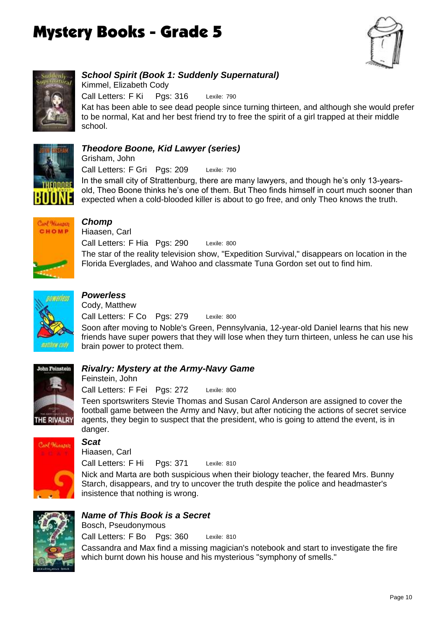



## *School Spirit (Book 1: Suddenly Supernatural)*

Lexile: 790 Kat has been able to see dead people since turning thirteen, and although she would prefer to be normal, Kat and her best friend try to free the spirit of a girl trapped at their middle school. Call Letters: F Ki Pgs: 316 Kimmel, Elizabeth Cody



#### *Theodore Boone, Kid Lawyer (series)*

Lexile: 790 Call Letters: F Gri Pgs: 209 Grisham, John

In the small city of Strattenburg, there are many lawyers, and though he's only 13-yearsold, Theo Boone thinks he's one of them. But Theo finds himself in court much sooner than expected when a cold-blooded killer is about to go free, and only Theo knows the truth.



# *Chomp*

Lexile: 800 The star of the reality television show, "Expedition Survival," disappears on location in the Florida Everglades, and Wahoo and classmate Tuna Gordon set out to find him. Call Letters: F Hia Pgs: 290 Hiaasen, Carl



# *Powerless*

Lexile: 800 Call Letters: F Co Pgs: 279 Cody, Matthew

Soon after moving to Noble's Green, Pennsylvania, 12-year-old Daniel learns that his new friends have super powers that they will lose when they turn thirteen, unless he can use his brain power to protect them.



### *Rivalry: Mystery at the Army-Navy Game*

Lexile: 800 Call Letters: F Fei Pgs: 272 Feinstein, John

Teen sportswriters Stevie Thomas and Susan Carol Anderson are assigned to cover the football game between the Army and Navy, but after noticing the actions of secret service agents, they begin to suspect that the president, who is going to attend the event, is in danger.



# *Scat*

Hiaasen, Carl

Lexile: 810 Call Letters: F Hi Pgs: 371

Nick and Marta are both suspicious when their biology teacher, the feared Mrs. Bunny Starch, disappears, and try to uncover the truth despite the police and headmaster's insistence that nothing is wrong.



# *Name of This Book is a Secret*

Call Letters: F Bo Pgs: 360 Bosch, Pseudonymous

Lexile: 810 Cassandra and Max find a missing magician's notebook and start to investigate the fire which burnt down his house and his mysterious "symphony of smells."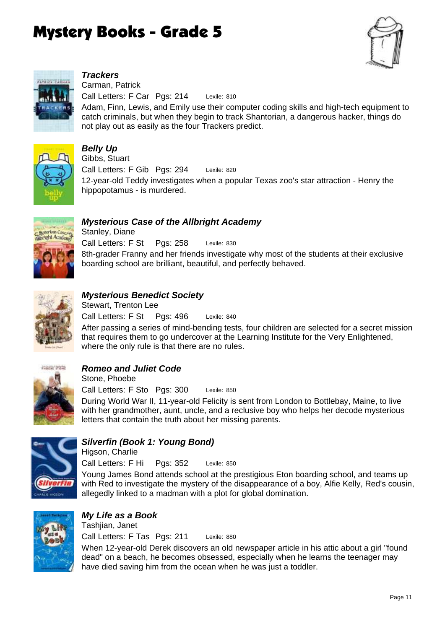



# *Trackers*

Lexile: 810 Adam, Finn, Lewis, and Emily use their computer coding skills and high-tech equipment to catch criminals, but when they begin to track Shantorian, a dangerous hacker, things do not play out as easily as the four Trackers predict. Call Letters: F Car Pgs: 214 Carman, Patrick



# *Belly Up*

Lexile: 820 12-year-old Teddy investigates when a popular Texas zoo's star attraction - Henry the hippopotamus - is murdered. Call Letters: F Gib Pgs: 294 Gibbs, Stuart



# *Mysterious Case of the Allbright Academy*

Lexile: 830 8th-grader Franny and her friends investigate why most of the students at their exclusive boarding school are brilliant, beautiful, and perfectly behaved. Call Letters: F St Pgs: 258 Stanley, Diane



#### *Mysterious Benedict Society*

Lexile: 840 Call Letters: F St Pas: 496 Stewart, Trenton Lee

After passing a series of mind-bending tests, four children are selected for a secret mission that requires them to go undercover at the Learning Institute for the Very Enlightened, where the only rule is that there are no rules.



### *Romeo and Juliet Code*

Lexile: 850 During World War II, 11-year-old Felicity is sent from London to Bottlebay, Maine, to live with her grandmother, aunt, uncle, and a reclusive boy who helps her decode mysterious letters that contain the truth about her missing parents. Call Letters: F Sto Pgs: 300 Stone, Phoebe



### *Silverfin (Book 1: Young Bond)*

Lexile: 850 Call Letters: F Hi Pgs: 352 Higson, Charlie

Young James Bond attends school at the prestigious Eton boarding school, and teams up with Red to investigate the mystery of the disappearance of a boy, Alfie Kelly, Red's cousin, allegedly linked to a madman with a plot for global domination.



# *My Life as a Book*

Lexile: 880 Call Letters: F Tas Pgs: 211 Tashjian, Janet

When 12-year-old Derek discovers an old newspaper article in his attic about a girl "found dead" on a beach, he becomes obsessed, especially when he learns the teenager may have died saving him from the ocean when he was just a toddler.